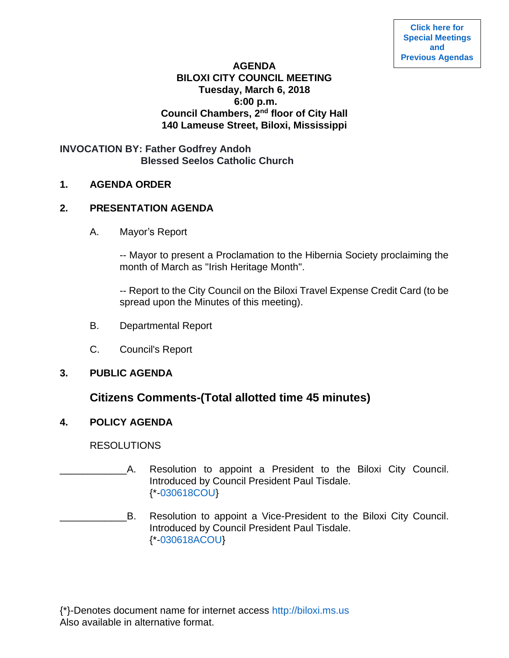## **AGENDA BILOXI CITY COUNCIL MEETING Tuesday, March 6, 2018 6:00 p.m. Council Chambers, 2nd floor of City Hall 140 Lameuse Street, Biloxi, Mississippi**

# **INVOCATION BY: Father Godfrey Andoh Blessed Seelos Catholic Church**

## **1. AGENDA ORDER**

## **2. PRESENTATION AGENDA**

A. Mayor's Report

-- Mayor to present a Proclamation to the Hibernia Society proclaiming the month of March as "Irish Heritage Month".

-- Report to the City Council on the Biloxi Travel Expense Credit Card (to be spread upon the Minutes of this meeting).

- B. Departmental Report
- C. Council's Report

### **3. PUBLIC AGENDA**

# **Citizens Comments-(Total allotted time 45 minutes)**

# **4. POLICY AGENDA**

RESOLUTIONS

- A. Resolution to appoint a President to the Biloxi City Council. Introduced by Council President Paul Tisdale. {\*[-030618COU}](https://www.biloxi.ms.us/agendas/citycouncil/2018/030618/030618cou.pdf)
- B. Resolution to appoint a Vice-President to the Biloxi City Council. Introduced by Council President Paul Tisdale. {\*[-030618ACOU}](https://www.biloxi.ms.us/agendas/citycouncil/2018/030618/030618acou.pdf)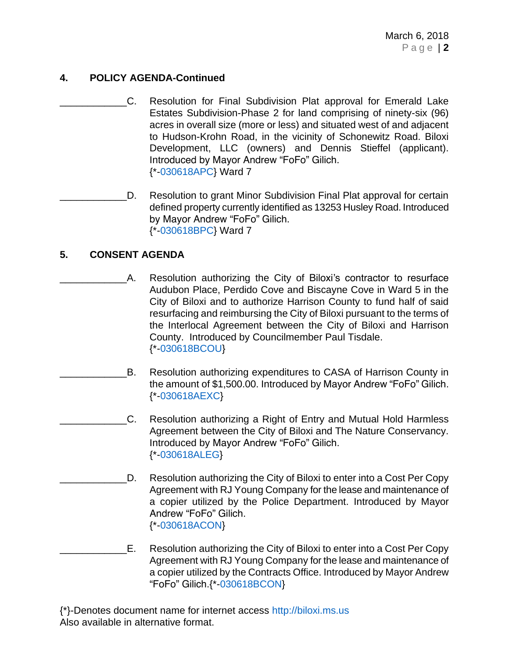# **4. POLICY AGENDA-Continued**

- C. Resolution for Final Subdivision Plat approval for Emerald Lake Estates Subdivision-Phase 2 for land comprising of ninety-six (96) acres in overall size (more or less) and situated west of and adjacent to Hudson-Krohn Road, in the vicinity of Schonewitz Road. Biloxi Development, LLC (owners) and Dennis Stieffel (applicant). Introduced by Mayor Andrew "FoFo" Gilich. {\*[-030618APC}](https://www.biloxi.ms.us/agendas/citycouncil/2018/030618/030618apc.pdf) Ward 7
- D. Resolution to grant Minor Subdivision Final Plat approval for certain defined property currently identified as 13253 Husley Road. Introduced by Mayor Andrew "FoFo" Gilich. {\*[-030618BPC}](https://www.biloxi.ms.us/agendas/citycouncil/2018/030618/030618bpc.pdf) Ward 7

### **5. CONSENT AGENDA**

- A. Resolution authorizing the City of Biloxi's contractor to resurface Audubon Place, Perdido Cove and Biscayne Cove in Ward 5 in the City of Biloxi and to authorize Harrison County to fund half of said resurfacing and reimbursing the City of Biloxi pursuant to the terms of the Interlocal Agreement between the City of Biloxi and Harrison County. Introduced by Councilmember Paul Tisdale. {\*[-030618BCOU}](https://www.biloxi.ms.us/agendas/citycouncil/2018/030618/030618bcou.pdf)
- B. Resolution authorizing expenditures to CASA of Harrison County in the amount of \$1,500.00. Introduced by Mayor Andrew "FoFo" Gilich. {\*[-030618AEXC}](https://www.biloxi.ms.us/agendas/citycouncil/2018/030618/030618aexc.pdf)
	- \_\_\_\_\_\_\_\_\_\_\_\_C. Resolution authorizing a Right of Entry and Mutual Hold Harmless Agreement between the City of Biloxi and The Nature Conservancy. Introduced by Mayor Andrew "FoFo" Gilich. {\*[-030618ALEG}](https://www.biloxi.ms.us/agendas/citycouncil/2018/030618/030618aleg.pdf)
	- D. Resolution authorizing the City of Biloxi to enter into a Cost Per Copy Agreement with RJ Young Company for the lease and maintenance of a copier utilized by the Police Department. Introduced by Mayor Andrew "FoFo" Gilich. {\*[-030618ACON}](https://www.biloxi.ms.us/agendas/citycouncil/2018/030618/030618acon.pdf)
- E. Resolution authorizing the City of Biloxi to enter into a Cost Per Copy Agreement with RJ Young Company for the lease and maintenance of a copier utilized by the Contracts Office. Introduced by Mayor Andrew "FoFo" Gilich.{\*[-030618BCON}](https://www.biloxi.ms.us/agendas/citycouncil/2018/030618/030618bcon.pdf)

{\*}-Denotes document name for internet access [http://biloxi.ms.us](http://biloxi.ms.us/) Also available in alternative format.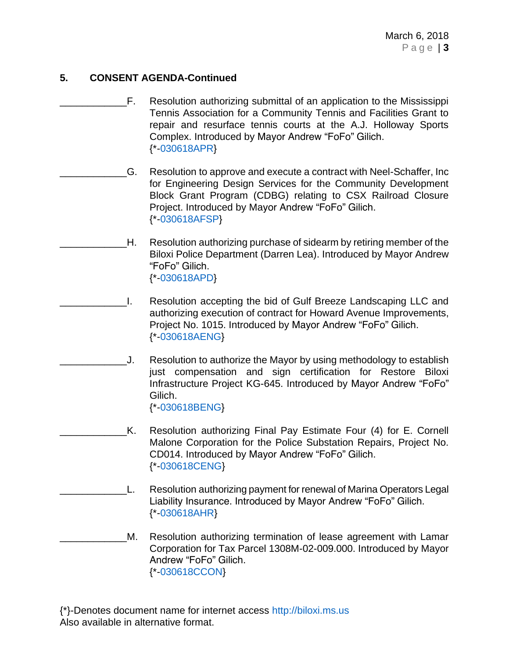# **5. CONSENT AGENDA-Continued**

- F. Resolution authorizing submittal of an application to the Mississippi Tennis Association for a Community Tennis and Facilities Grant to repair and resurface tennis courts at the A.J. Holloway Sports Complex. Introduced by Mayor Andrew "FoFo" Gilich. {\*[-030618APR}](https://www.biloxi.ms.us/agendas/citycouncil/2018/030618/030618apr.pdf)
	- \_\_\_\_\_\_\_\_\_\_\_\_G. Resolution to approve and execute a contract with Neel-Schaffer, Inc for Engineering Design Services for the Community Development Block Grant Program (CDBG) relating to CSX Railroad Closure Project. Introduced by Mayor Andrew "FoFo" Gilich. {\*[-030618AFSP}](https://www.biloxi.ms.us/agendas/citycouncil/2018/030618/030618afsp.pdf)
	- H. Resolution authorizing purchase of sidearm by retiring member of the Biloxi Police Department (Darren Lea). Introduced by Mayor Andrew "FoFo" Gilich. {\*[-030618APD}](https://www.biloxi.ms.us/agendas/citycouncil/2018/030618/030618apd.pdf)
- \_\_\_\_\_\_\_\_\_\_\_\_I. Resolution accepting the bid of Gulf Breeze Landscaping LLC and authorizing execution of contract for Howard Avenue Improvements, Project No. 1015. Introduced by Mayor Andrew "FoFo" Gilich. {\*[-030618AENG}](https://www.biloxi.ms.us/agendas/citycouncil/2018/030618/030618aeng.pdf)
- \_\_\_\_\_\_\_\_\_\_\_\_J. Resolution to authorize the Mayor by using methodology to establish just compensation and sign certification for Restore Biloxi Infrastructure Project KG-645. Introduced by Mayor Andrew "FoFo" Gilich. {\*[-030618BENG}](https://www.biloxi.ms.us/agendas/citycouncil/2018/030618/030618beng.pdf)
	- K. Resolution authorizing Final Pay Estimate Four (4) for E. Cornell Malone Corporation for the Police Substation Repairs, Project No. CD014. Introduced by Mayor Andrew "FoFo" Gilich. {\*[-030618CENG}](https://www.biloxi.ms.us/agendas/citycouncil/2018/030618/030618ceng.pdf)
	- L. Resolution authorizing payment for renewal of Marina Operators Legal Liability Insurance. Introduced by Mayor Andrew "FoFo" Gilich. {\*[-030618AHR}](https://www.biloxi.ms.us/agendas/citycouncil/2018/030618/030618ahr.pdf)
- M. Resolution authorizing termination of lease agreement with Lamar Corporation for Tax Parcel 1308M-02-009.000. Introduced by Mayor Andrew "FoFo" Gilich. {\*[-030618CCON}](https://www.biloxi.ms.us/agendas/citycouncil/2018/030618/030618ccon.pdf)

{\*}-Denotes document name for internet access [http://biloxi.ms.us](http://biloxi.ms.us/) Also available in alternative format.